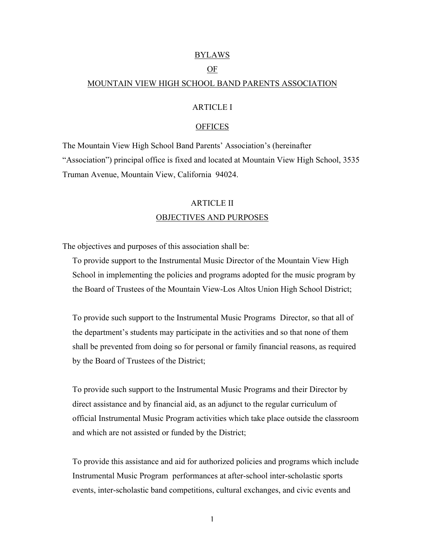#### BYLAWS

### OF

### MOUNTAIN VIEW HIGH SCHOOL BAND PARENTS ASSOCIATION

### ARTICLE I

#### **OFFICES**

The Mountain View High School Band Parents' Association's (hereinafter "Association") principal office is fixed and located at Mountain View High School, 3535 Truman Avenue, Mountain View, California 94024.

# ARTICLE II OBJECTIVES AND PURPOSES

The objectives and purposes of this association shall be:

To provide support to the Instrumental Music Director of the Mountain View High School in implementing the policies and programs adopted for the music program by the Board of Trustees of the Mountain View-Los Altos Union High School District;

To provide such support to the Instrumental Music Programs Director, so that all of the department's students may participate in the activities and so that none of them shall be prevented from doing so for personal or family financial reasons, as required by the Board of Trustees of the District;

To provide such support to the Instrumental Music Programs and their Director by direct assistance and by financial aid, as an adjunct to the regular curriculum of official Instrumental Music Program activities which take place outside the classroom and which are not assisted or funded by the District;

To provide this assistance and aid for authorized policies and programs which include Instrumental Music Program performances at after-school inter-scholastic sports events, inter-scholastic band competitions, cultural exchanges, and civic events and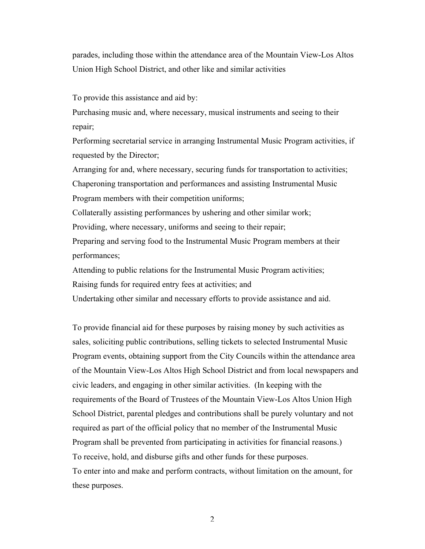parades, including those within the attendance area of the Mountain View-Los Altos Union High School District, and other like and similar activities

To provide this assistance and aid by:

Purchasing music and, where necessary, musical instruments and seeing to their repair;

Performing secretarial service in arranging Instrumental Music Program activities, if requested by the Director;

Arranging for and, where necessary, securing funds for transportation to activities; Chaperoning transportation and performances and assisting Instrumental Music

Program members with their competition uniforms;

Collaterally assisting performances by ushering and other similar work;

Providing, where necessary, uniforms and seeing to their repair;

Preparing and serving food to the Instrumental Music Program members at their performances;

Attending to public relations for the Instrumental Music Program activities;

Raising funds for required entry fees at activities; and

Undertaking other similar and necessary efforts to provide assistance and aid.

To provide financial aid for these purposes by raising money by such activities as sales, soliciting public contributions, selling tickets to selected Instrumental Music Program events, obtaining support from the City Councils within the attendance area of the Mountain View-Los Altos High School District and from local newspapers and civic leaders, and engaging in other similar activities. (In keeping with the requirements of the Board of Trustees of the Mountain View-Los Altos Union High School District, parental pledges and contributions shall be purely voluntary and not required as part of the official policy that no member of the Instrumental Music Program shall be prevented from participating in activities for financial reasons.) To receive, hold, and disburse gifts and other funds for these purposes. To enter into and make and perform contracts, without limitation on the amount, for these purposes.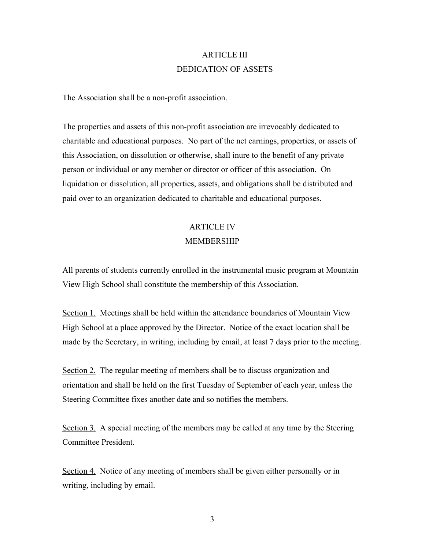## ARTICLE III DEDICATION OF ASSETS

The Association shall be a non-profit association.

The properties and assets of this non-profit association are irrevocably dedicated to charitable and educational purposes. No part of the net earnings, properties, or assets of this Association, on dissolution or otherwise, shall inure to the benefit of any private person or individual or any member or director or officer of this association. On liquidation or dissolution, all properties, assets, and obligations shall be distributed and paid over to an organization dedicated to charitable and educational purposes.

# ARTICLE IV MEMBERSHIP

All parents of students currently enrolled in the instrumental music program at Mountain View High School shall constitute the membership of this Association.

Section 1. Meetings shall be held within the attendance boundaries of Mountain View High School at a place approved by the Director. Notice of the exact location shall be made by the Secretary, in writing, including by email, at least 7 days prior to the meeting.

Section 2. The regular meeting of members shall be to discuss organization and orientation and shall be held on the first Tuesday of September of each year, unless the Steering Committee fixes another date and so notifies the members.

Section 3. A special meeting of the members may be called at any time by the Steering Committee President.

Section 4. Notice of any meeting of members shall be given either personally or in writing, including by email.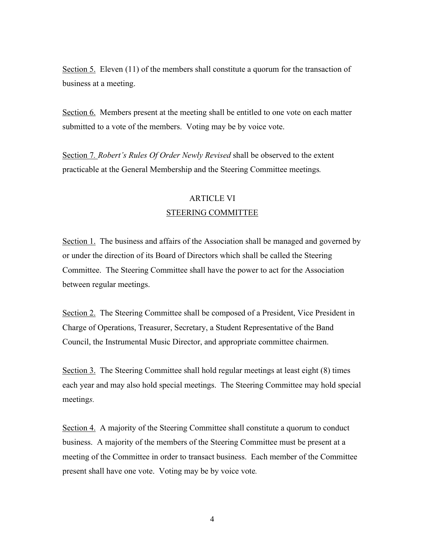Section 5. Eleven (11) of the members shall constitute a quorum for the transaction of business at a meeting.

Section 6. Members present at the meeting shall be entitled to one vote on each matter submitted to a vote of the members. Voting may be by voice vote.

Section 7*. Robert's Rules Of Order Newly Revised* shall be observed to the extent practicable at the General Membership and the Steering Committee meetings*.*

# ARTICLE VI STEERING COMMITTEE

Section 1. The business and affairs of the Association shall be managed and governed by or under the direction of its Board of Directors which shall be called the Steering Committee. The Steering Committee shall have the power to act for the Association between regular meetings.

Section 2. The Steering Committee shall be composed of a President, Vice President in Charge of Operations, Treasurer, Secretary, a Student Representative of the Band Council, the Instrumental Music Director, and appropriate committee chairmen.

Section 3. The Steering Committee shall hold regular meetings at least eight (8) times each year and may also hold special meetings. The Steering Committee may hold special meeting*s.*

Section 4. A majority of the Steering Committee shall constitute a quorum to conduct business. A majority of the members of the Steering Committee must be present at a meeting of the Committee in order to transact business. Each member of the Committee present shall have one vote. Voting may be by voice vote*.*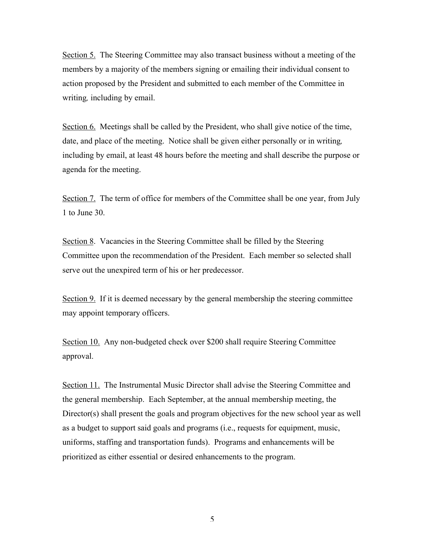Section 5. The Steering Committee may also transact business without a meeting of the members by a majority of the members signing or emailing their individual consent to action proposed by the President and submitted to each member of the Committee in writing*,* including by email.

Section 6. Meetings shall be called by the President, who shall give notice of the time, date, and place of the meeting. Notice shall be given either personally or in writing*,* including by email, at least 48 hours before the meeting and shall describe the purpose or agenda for the meeting.

Section 7. The term of office for members of the Committee shall be one year, from July 1 to June 30.

Section 8. Vacancies in the Steering Committee shall be filled by the Steering Committee upon the recommendation of the President. Each member so selected shall serve out the unexpired term of his or her predecessor.

Section 9. If it is deemed necessary by the general membership the steering committee may appoint temporary officers.

Section 10. Any non-budgeted check over \$200 shall require Steering Committee approval.

Section 11. The Instrumental Music Director shall advise the Steering Committee and the general membership. Each September, at the annual membership meeting, the Director(s) shall present the goals and program objectives for the new school year as well as a budget to support said goals and programs (i.e., requests for equipment, music, uniforms, staffing and transportation funds). Programs and enhancements will be prioritized as either essential or desired enhancements to the program.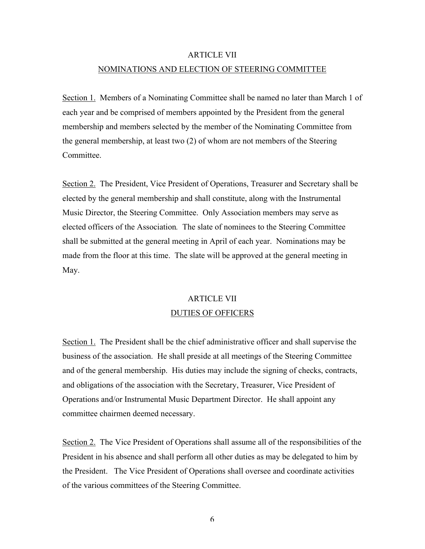# ARTICLE VII NOMINATIONS AND ELECTION OF STEERING COMMITTEE

Section 1. Members of a Nominating Committee shall be named no later than March 1 of each year and be comprised of members appointed by the President from the general membership and members selected by the member of the Nominating Committee from the general membership, at least two (2) of whom are not members of the Steering Committee.

Section 2. The President, Vice President of Operations, Treasurer and Secretary shall be elected by the general membership and shall constitute, along with the Instrumental Music Director, the Steering Committee. Only Association members may serve as elected officers of the Association*.* The slate of nominees to the Steering Committee shall be submitted at the general meeting in April of each year. Nominations may be made from the floor at this time. The slate will be approved at the general meeting in May.

# ARTICLE VII DUTIES OF OFFICERS

Section 1. The President shall be the chief administrative officer and shall supervise the business of the association. He shall preside at all meetings of the Steering Committee and of the general membership. His duties may include the signing of checks, contracts, and obligations of the association with the Secretary, Treasurer, Vice President of Operations and/or Instrumental Music Department Director. He shall appoint any committee chairmen deemed necessary.

Section 2. The Vice President of Operations shall assume all of the responsibilities of the President in his absence and shall perform all other duties as may be delegated to him by the President. The Vice President of Operations shall oversee and coordinate activities of the various committees of the Steering Committee.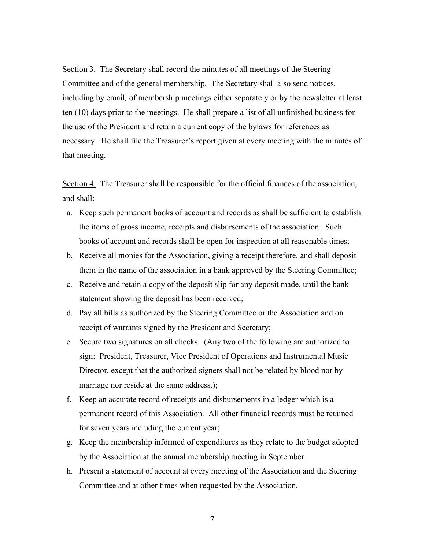Section 3. The Secretary shall record the minutes of all meetings of the Steering Committee and of the general membership. The Secretary shall also send notices, including by email*,* of membership meetings either separately or by the newsletter at least ten (10) days prior to the meetings. He shall prepare a list of all unfinished business for the use of the President and retain a current copy of the bylaws for references as necessary. He shall file the Treasurer's report given at every meeting with the minutes of that meeting.

Section 4. The Treasurer shall be responsible for the official finances of the association, and shall:

- a. Keep such permanent books of account and records as shall be sufficient to establish the items of gross income, receipts and disbursements of the association. Such books of account and records shall be open for inspection at all reasonable times;
- b. Receive all monies for the Association, giving a receipt therefore, and shall deposit them in the name of the association in a bank approved by the Steering Committee;
- c. Receive and retain a copy of the deposit slip for any deposit made, until the bank statement showing the deposit has been received;
- d. Pay all bills as authorized by the Steering Committee or the Association and on receipt of warrants signed by the President and Secretary;
- e. Secure two signatures on all checks. (Any two of the following are authorized to sign: President, Treasurer, Vice President of Operations and Instrumental Music Director, except that the authorized signers shall not be related by blood nor by marriage nor reside at the same address.);
- f. Keep an accurate record of receipts and disbursements in a ledger which is a permanent record of this Association. All other financial records must be retained for seven years including the current year;
- g. Keep the membership informed of expenditures as they relate to the budget adopted by the Association at the annual membership meeting in September.
- h. Present a statement of account at every meeting of the Association and the Steering Committee and at other times when requested by the Association.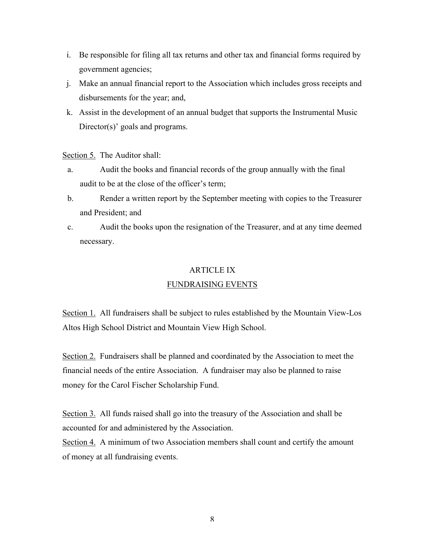- i. Be responsible for filing all tax returns and other tax and financial forms required by government agencies;
- j. Make an annual financial report to the Association which includes gross receipts and disbursements for the year; and,
- k. Assist in the development of an annual budget that supports the Instrumental Music Director(s)' goals and programs.

Section 5. The Auditor shall:

- a. Audit the books and financial records of the group annually with the final audit to be at the close of the officer's term;
- b. Render a written report by the September meeting with copies to the Treasurer and President; and
- c. Audit the books upon the resignation of the Treasurer, and at any time deemed necessary.

### ARTICLE IX

## FUNDRAISING EVENTS

Section 1. All fundraisers shall be subject to rules established by the Mountain View-Los Altos High School District and Mountain View High School.

Section 2. Fundraisers shall be planned and coordinated by the Association to meet the financial needs of the entire Association. A fundraiser may also be planned to raise money for the Carol Fischer Scholarship Fund.

Section 3. All funds raised shall go into the treasury of the Association and shall be accounted for and administered by the Association.

Section 4. A minimum of two Association members shall count and certify the amount of money at all fundraising events.